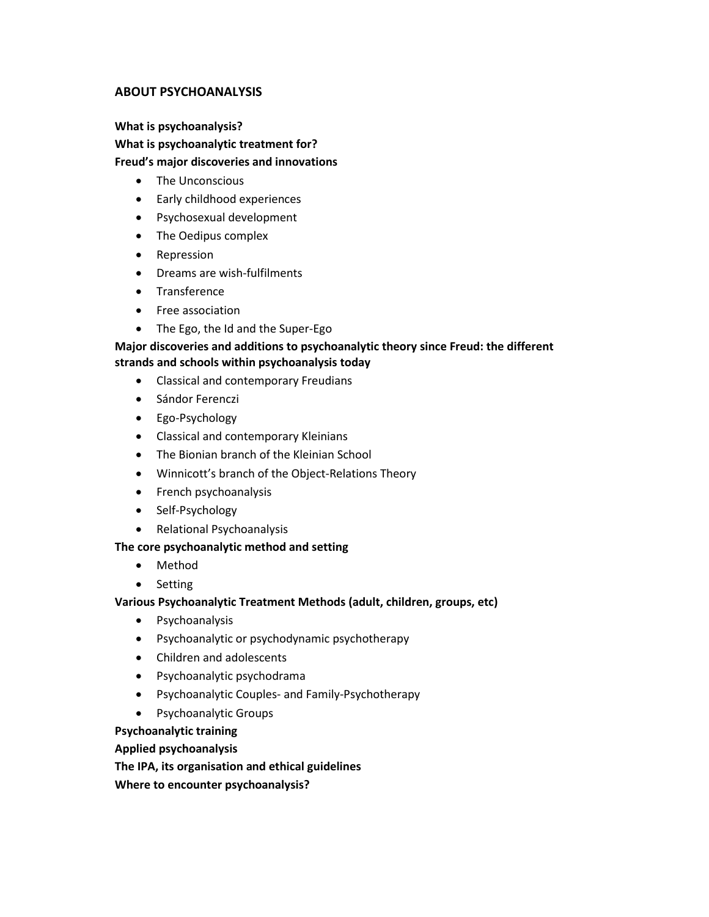## **ABOUT PSYCHOANALYSIS**

# **What is psychoanalysis? What is psychoanalytic treatment for? Freud's major discoveries and innovations**

- The Unconscious
- Early childhood experiences
- Psychosexual development
- The Oedipus complex
- Repression
- Dreams are wish-fulfilments
- Transference
- Free association
- The Ego, the Id and the Super-Ego

#### **Major discoveries and additions to psychoanalytic theory since Freud: the different strands and schools within psychoanalysis today**

- Classical and contemporary Freudians
- Sándor Ferenczi
- Ego-Psychology
- Classical and contemporary Kleinians
- The Bionian branch of the Kleinian School
- Winnicott's branch of the Object-Relations Theory
- French psychoanalysis
- Self-Psychology
- Relational Psychoanalysis

#### **The core psychoanalytic method and setting**

- Method
- Setting

#### **Various Psychoanalytic Treatment Methods (adult, children, groups, etc)**

- Psychoanalysis
- Psychoanalytic or psychodynamic psychotherapy
- Children and adolescents
- Psychoanalytic psychodrama
- Psychoanalytic Couples- and Family-Psychotherapy
- Psychoanalytic Groups

#### **Psychoanalytic training**

#### **Applied psychoanalysis**

**The IPA, its organisation and ethical guidelines Where to encounter psychoanalysis?**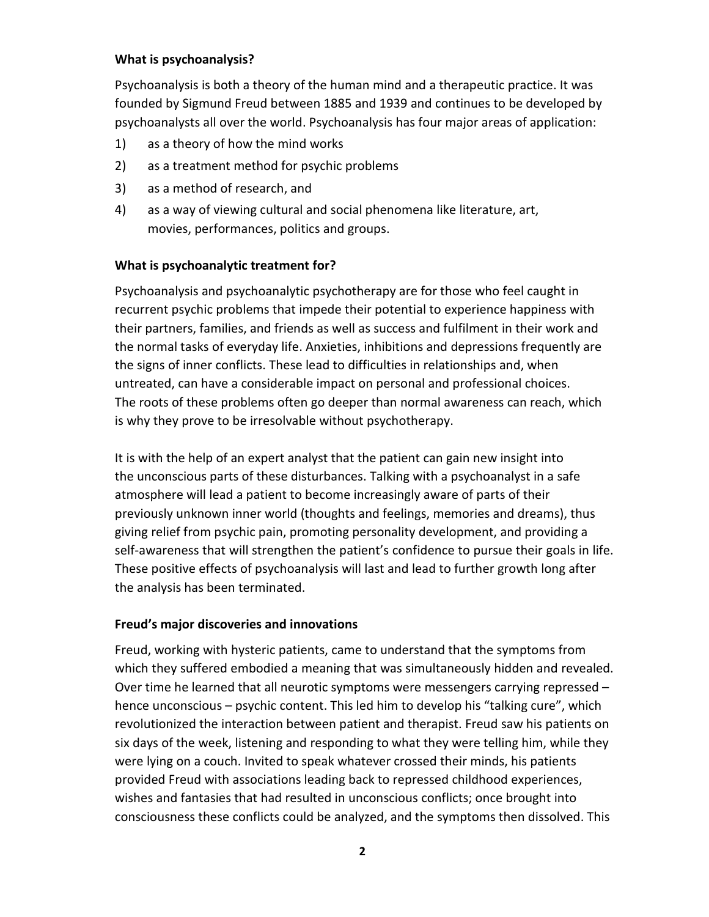# **What is psychoanalysis?**

Psychoanalysis is both a theory of the human mind and a therapeutic practice. It was founded by Sigmund Freud between 1885 and 1939 and continues to be developed by psychoanalysts all over the world. Psychoanalysis has four major areas of application:

- 1) as a theory of how the mind works
- 2) as a treatment method for psychic problems
- 3) as a method of research, and
- 4) as a way of viewing cultural and social phenomena like literature, art, movies, performances, politics and groups.

# **What is psychoanalytic treatment for?**

Psychoanalysis and psychoanalytic psychotherapy are for those who feel caught in recurrent psychic problems that impede their potential to experience happiness with their partners, families, and friends as well as success and fulfilment in their work and the normal tasks of everyday life. Anxieties, inhibitions and depressions frequently are the signs of inner conflicts. These lead to difficulties in relationships and, when untreated, can have a considerable impact on personal and professional choices. The roots of these problems often go deeper than normal awareness can reach, which is why they prove to be irresolvable without psychotherapy.

It is with the help of an expert analyst that the patient can gain new insight into the unconscious parts of these disturbances. Talking with a psychoanalyst in a safe atmosphere will lead a patient to become increasingly aware of parts of their previously unknown inner world (thoughts and feelings, memories and dreams), thus giving relief from psychic pain, promoting personality development, and providing a self-awareness that will strengthen the patient's confidence to pursue their goals in life. These positive effects of psychoanalysis will last and lead to further growth long after the analysis has been terminated.

## **Freud's major discoveries and innovations**

Freud, working with hysteric patients, came to understand that the symptoms from which they suffered embodied a meaning that was simultaneously hidden and revealed. Over time he learned that all neurotic symptoms were messengers carrying repressed – hence unconscious – psychic content. This led him to develop his "talking cure", which revolutionized the interaction between patient and therapist. Freud saw his patients on six days of the week, listening and responding to what they were telling him, while they were lying on a couch. Invited to speak whatever crossed their minds, his patients provided Freud with associations leading back to repressed childhood experiences, wishes and fantasies that had resulted in unconscious conflicts; once brought into consciousness these conflicts could be analyzed, and the symptoms then dissolved. This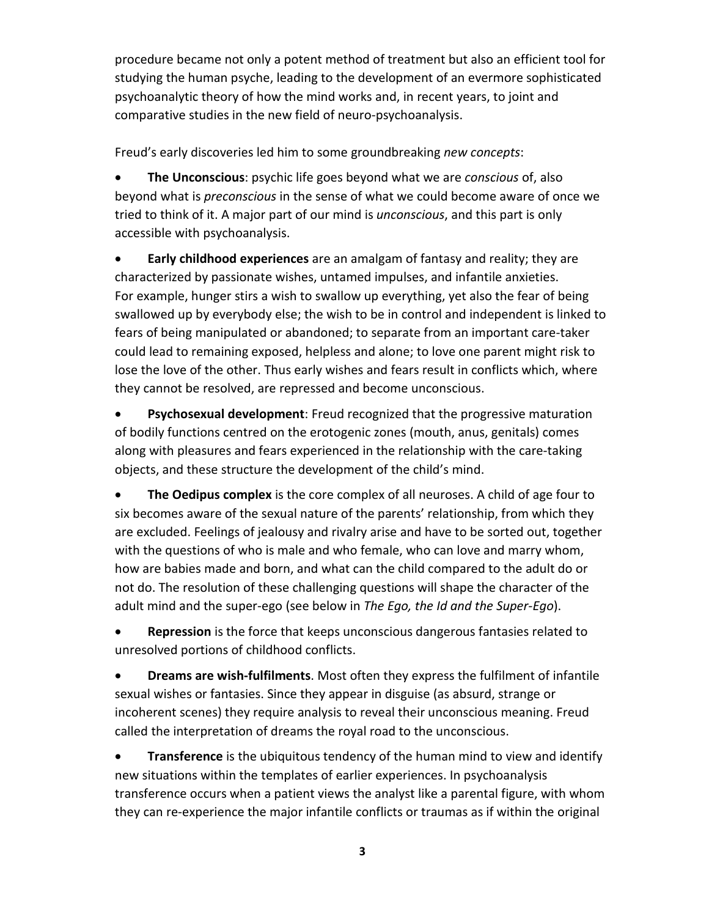procedure became not only a potent method of treatment but also an efficient tool for studying the human psyche, leading to the development of an evermore sophisticated psychoanalytic theory of how the mind works and, in recent years, to joint and comparative studies in the new field of neuro-psychoanalysis.

Freud's early discoveries led him to some groundbreaking *new concepts*:

• **The Unconscious**: psychic life goes beyond what we are *conscious* of, also beyond what is *preconscious* in the sense of what we could become aware of once we tried to think of it. A major part of our mind is *unconscious*, and this part is only accessible with psychoanalysis.

• **Early childhood experiences** are an amalgam of fantasy and reality; they are characterized by passionate wishes, untamed impulses, and infantile anxieties. For example, hunger stirs a wish to swallow up everything, yet also the fear of being swallowed up by everybody else; the wish to be in control and independent is linked to fears of being manipulated or abandoned; to separate from an important care-taker could lead to remaining exposed, helpless and alone; to love one parent might risk to lose the love of the other. Thus early wishes and fears result in conflicts which, where they cannot be resolved, are repressed and become unconscious.

• **Psychosexual development**: Freud recognized that the progressive maturation of bodily functions centred on the erotogenic zones (mouth, anus, genitals) comes along with pleasures and fears experienced in the relationship with the care-taking objects, and these structure the development of the child's mind.

• **The Oedipus complex** is the core complex of all neuroses. A child of age four to six becomes aware of the sexual nature of the parents' relationship, from which they are excluded. Feelings of jealousy and rivalry arise and have to be sorted out, together with the questions of who is male and who female, who can love and marry whom, how are babies made and born, and what can the child compared to the adult do or not do. The resolution of these challenging questions will shape the character of the adult mind and the super-ego (see below in *The Ego, the Id and the Super-Ego*).

• **Repression** is the force that keeps unconscious dangerous fantasies related to unresolved portions of childhood conflicts.

• **Dreams are wish-fulfilments**. Most often they express the fulfilment of infantile sexual wishes or fantasies. Since they appear in disguise (as absurd, strange or incoherent scenes) they require analysis to reveal their unconscious meaning. Freud called the interpretation of dreams the royal road to the unconscious.

• **Transference** is the ubiquitous tendency of the human mind to view and identify new situations within the templates of earlier experiences. In psychoanalysis transference occurs when a patient views the analyst like a parental figure, with whom they can re-experience the major infantile conflicts or traumas as if within the original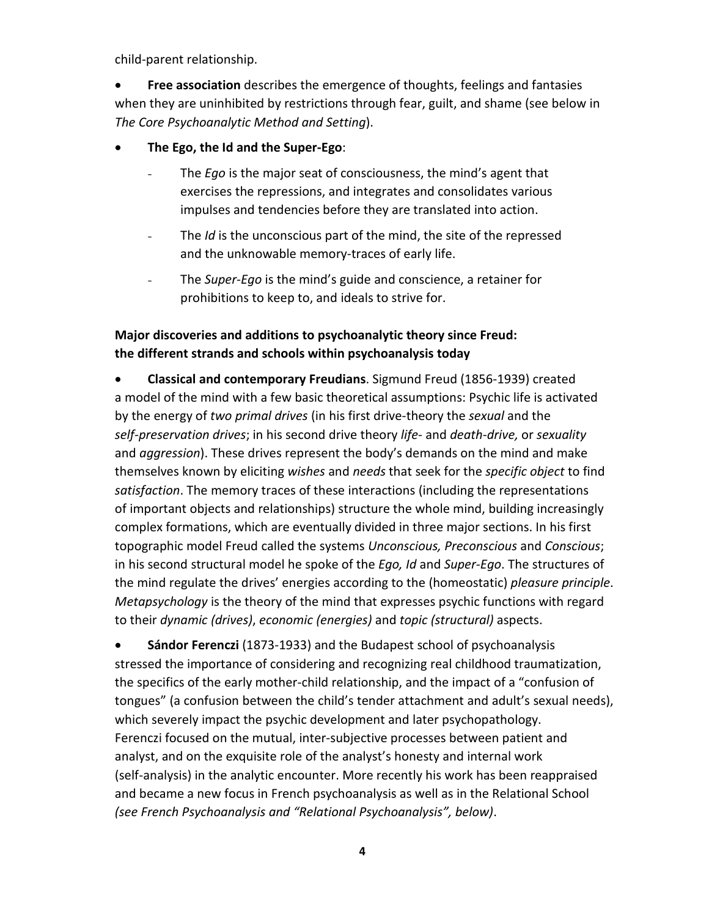child-parent relationship.

• **Free association** describes the emergence of thoughts, feelings and fantasies when they are uninhibited by restrictions through fear, guilt, and shame (see below in *The Core Psychoanalytic Method and Setting*).

- **The Ego, the Id and the Super-Ego**:
	- The *Ego* is the major seat of consciousness, the mind's agent that exercises the repressions, and integrates and consolidates various impulses and tendencies before they are translated into action.
	- The *Id* is the unconscious part of the mind, the site of the repressed and the unknowable memory-traces of early life.
	- The *Super-Ego* is the mind's guide and conscience, a retainer for prohibitions to keep to, and ideals to strive for.

# **Major discoveries and additions to psychoanalytic theory since Freud: the different strands and schools within psychoanalysis today**

• **Classical and contemporary Freudians**. Sigmund Freud (1856-1939) created a model of the mind with a few basic theoretical assumptions: Psychic life is activated by the energy of *two primal drives* (in his first drive-theory the *sexual* and the *self-preservation drives*; in his second drive theory *life*- and *death-drive,* or *sexuality* and *aggression*). These drives represent the body's demands on the mind and make themselves known by eliciting *wishes* and *needs* that seek for the *specific object* to find *satisfaction*. The memory traces of these interactions (including the representations of important objects and relationships) structure the whole mind, building increasingly complex formations, which are eventually divided in three major sections. In his first topographic model Freud called the systems *Unconscious, Preconscious* and *Conscious*; in his second structural model he spoke of the *Ego, Id* and *Super-Ego*. The structures of the mind regulate the drives' energies according to the (homeostatic) *pleasure principle*. *Metapsychology* is the theory of the mind that expresses psychic functions with regard to their *dynamic (drives)*, *economic (energies)* and *topic (structural)* aspects.

• **Sándor Ferenczi** (1873-1933) and the Budapest school of psychoanalysis stressed the importance of considering and recognizing real childhood traumatization, the specifics of the early mother-child relationship, and the impact of a "confusion of tongues" (a confusion between the child's tender attachment and adult's sexual needs), which severely impact the psychic development and later psychopathology. Ferenczi focused on the mutual, inter-subjective processes between patient and analyst, and on the exquisite role of the analyst's honesty and internal work (self-analysis) in the analytic encounter. More recently his work has been reappraised and became a new focus in French psychoanalysis as well as in the Relational School *(see French Psychoanalysis and "Relational Psychoanalysis", below)*.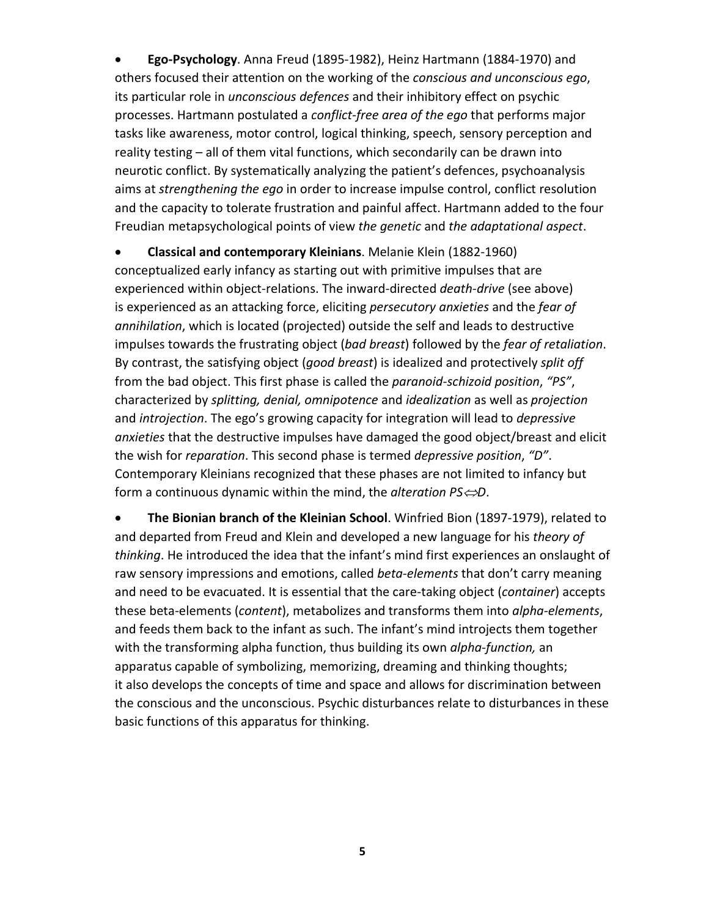• **Ego-Psychology**. Anna Freud (1895-1982), Heinz Hartmann (1884-1970) and others focused their attention on the working of the *conscious and unconscious ego*, its particular role in *unconscious defences* and their inhibitory effect on psychic processes. Hartmann postulated a *conflict-free area of the ego* that performs major tasks like awareness, motor control, logical thinking, speech, sensory perception and reality testing – all of them vital functions, which secondarily can be drawn into neurotic conflict. By systematically analyzing the patient's defences, psychoanalysis aims at *strengthening the ego* in order to increase impulse control, conflict resolution and the capacity to tolerate frustration and painful affect. Hartmann added to the four Freudian metapsychological points of view *the genetic* and *the adaptational aspect*.

• **Classical and contemporary Kleinians**. Melanie Klein (1882-1960) conceptualized early infancy as starting out with primitive impulses that are experienced within object-relations. The inward-directed *death-drive* (see above) is experienced as an attacking force, eliciting *persecutory anxieties* and the *fear of annihilation*, which is located (projected) outside the self and leads to destructive impulses towards the frustrating object (*bad breast*) followed by the *fear of retaliation*. By contrast, the satisfying object (*good breast*) is idealized and protectively *split off* from the bad object. This first phase is called the *paranoid-schizoid position*, *"PS"*, characterized by *splitting, denial, omnipotence* and *idealization* as well as *projection*  and *introjection*. The ego's growing capacity for integration will lead to *depressive anxieties* that the destructive impulses have damaged the good object/breast and elicit the wish for *reparation*. This second phase is termed *depressive position*, *"D"*. Contemporary Kleinians recognized that these phases are not limited to infancy but form a continuous dynamic within the mind, the *alteration PS*⇔*D*.

• **The Bionian branch of the Kleinian School**. Winfried Bion (1897-1979), related to and departed from Freud and Klein and developed a new language for his *theory of thinking*. He introduced the idea that the infant's mind first experiences an onslaught of raw sensory impressions and emotions, called *beta-elements* that don't carry meaning and need to be evacuated. It is essential that the care-taking object (*container*) accepts these beta-elements (*content*), metabolizes and transforms them into *alpha-elements*, and feeds them back to the infant as such. The infant's mind introjects them together with the transforming alpha function, thus building its own *alpha-function,* an apparatus capable of symbolizing, memorizing, dreaming and thinking thoughts; it also develops the concepts of time and space and allows for discrimination between the conscious and the unconscious. Psychic disturbances relate to disturbances in these basic functions of this apparatus for thinking.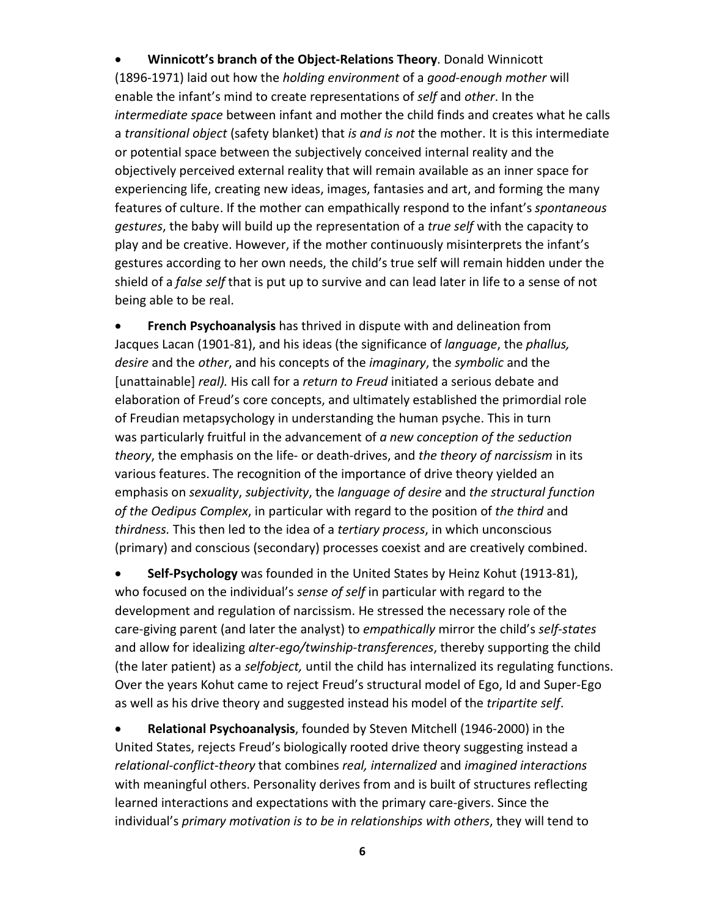• **Winnicott's branch of the Object-Relations Theory**. Donald Winnicott (1896-1971) laid out how the *holding environment* of a *good-enough mother* will enable the infant's mind to create representations of *self* and *other*. In the *intermediate space* between infant and mother the child finds and creates what he calls a *transitional object* (safety blanket) that *is and is not* the mother. It is this intermediate or potential space between the subjectively conceived internal reality and the objectively perceived external reality that will remain available as an inner space for experiencing life, creating new ideas, images, fantasies and art, and forming the many features of culture. If the mother can empathically respond to the infant's *spontaneous gestures*, the baby will build up the representation of a *true self* with the capacity to play and be creative. However, if the mother continuously misinterprets the infant's gestures according to her own needs, the child's true self will remain hidden under the shield of a *false self* that is put up to survive and can lead later in life to a sense of not being able to be real.

• **French Psychoanalysis** has thrived in dispute with and delineation from Jacques Lacan (1901-81), and his ideas (the significance of *language*, the *phallus, desire* and the *other*, and his concepts of the *imaginary*, the *symbolic* and the [unattainable] *real).* His call for a *return to Freud* initiated a serious debate and elaboration of Freud's core concepts, and ultimately established the primordial role of Freudian metapsychology in understanding the human psyche. This in turn was particularly fruitful in the advancement of *a new conception of the seduction theory*, the emphasis on the life- or death-drives, and *the theory of narcissism* in its various features. The recognition of the importance of drive theory yielded an emphasis on *sexuality*, *subjectivity*, the *language of desire* and *the structural function of the Oedipus Complex*, in particular with regard to the position of *the third* and *thirdness.* This then led to the idea of a *tertiary process*, in which unconscious (primary) and conscious (secondary) processes coexist and are creatively combined.

• **Self-Psychology** was founded in the United States by Heinz Kohut (1913-81), who focused on the individual's *sense of self* in particular with regard to the development and regulation of narcissism. He stressed the necessary role of the care-giving parent (and later the analyst) to *empathically* mirror the child's *self-states* and allow for idealizing *alter-ego/twinship-transferences*, thereby supporting the child (the later patient) as a *selfobject,* until the child has internalized its regulating functions. Over the years Kohut came to reject Freud's structural model of Ego, Id and Super-Ego as well as his drive theory and suggested instead his model of the *tripartite self*.

• **Relational Psychoanalysis**, founded by Steven Mitchell (1946-2000) in the United States, rejects Freud's biologically rooted drive theory suggesting instead a *relational-conflict-theory* that combines *real, internalized* and *imagined interactions* with meaningful others. Personality derives from and is built of structures reflecting learned interactions and expectations with the primary care-givers. Since the individual's *primary motivation is to be in relationships with others*, they will tend to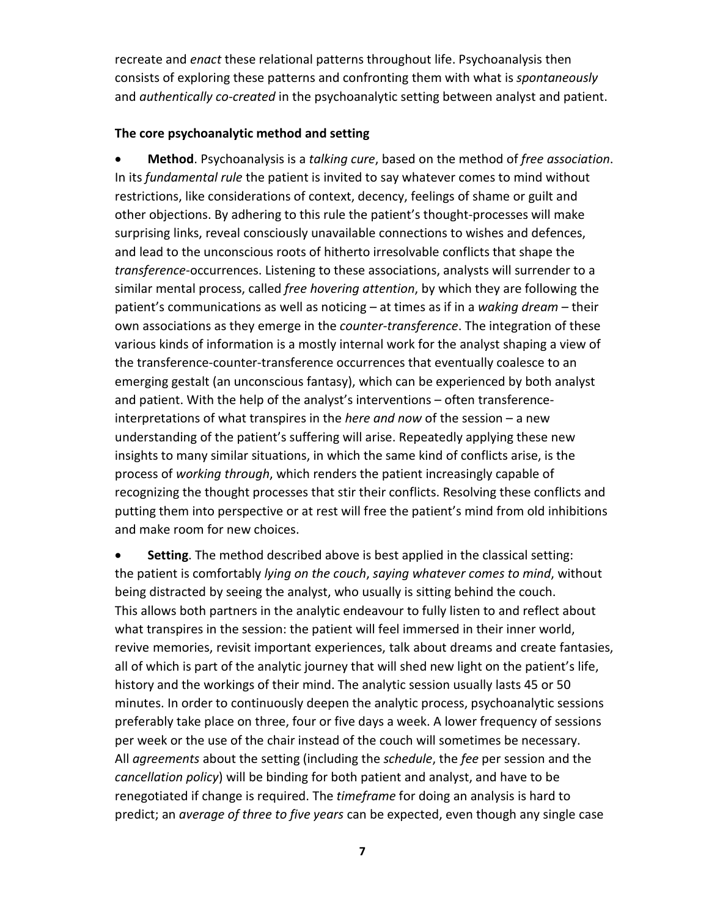recreate and *enact* these relational patterns throughout life. Psychoanalysis then consists of exploring these patterns and confronting them with what is *spontaneously*  and *authentically co-created* in the psychoanalytic setting between analyst and patient.

# **The core psychoanalytic method and setting**

• **Method**. Psychoanalysis is a *talking cure*, based on the method of *free association*. In its *fundamental rule* the patient is invited to say whatever comes to mind without restrictions, like considerations of context, decency, feelings of shame or guilt and other objections. By adhering to this rule the patient's thought-processes will make surprising links, reveal consciously unavailable connections to wishes and defences, and lead to the unconscious roots of hitherto irresolvable conflicts that shape the *transference*-occurrences. Listening to these associations, analysts will surrender to a similar mental process, called *free hovering attention*, by which they are following the patient's communications as well as noticing – at times as if in a *waking dream* – their own associations as they emerge in the *counter-transference*. The integration of these various kinds of information is a mostly internal work for the analyst shaping a view of the transference-counter-transference occurrences that eventually coalesce to an emerging gestalt (an unconscious fantasy), which can be experienced by both analyst and patient. With the help of the analyst's interventions – often transferenceinterpretations of what transpires in the *here and now* of the session – a new understanding of the patient's suffering will arise. Repeatedly applying these new insights to many similar situations, in which the same kind of conflicts arise, is the process of *working through*, which renders the patient increasingly capable of recognizing the thought processes that stir their conflicts. Resolving these conflicts and putting them into perspective or at rest will free the patient's mind from old inhibitions and make room for new choices.

**Setting**. The method described above is best applied in the classical setting: the patient is comfortably *lying on the couch*, *saying whatever comes to mind*, without being distracted by seeing the analyst, who usually is sitting behind the couch. This allows both partners in the analytic endeavour to fully listen to and reflect about what transpires in the session: the patient will feel immersed in their inner world, revive memories, revisit important experiences, talk about dreams and create fantasies, all of which is part of the analytic journey that will shed new light on the patient's life, history and the workings of their mind. The analytic session usually lasts 45 or 50 minutes. In order to continuously deepen the analytic process, psychoanalytic sessions preferably take place on three, four or five days a week. A lower frequency of sessions per week or the use of the chair instead of the couch will sometimes be necessary. All *agreements* about the setting (including the *schedule*, the *fee* per session and the *cancellation policy*) will be binding for both patient and analyst, and have to be renegotiated if change is required. The *timeframe* for doing an analysis is hard to predict; an *average of three to five years* can be expected, even though any single case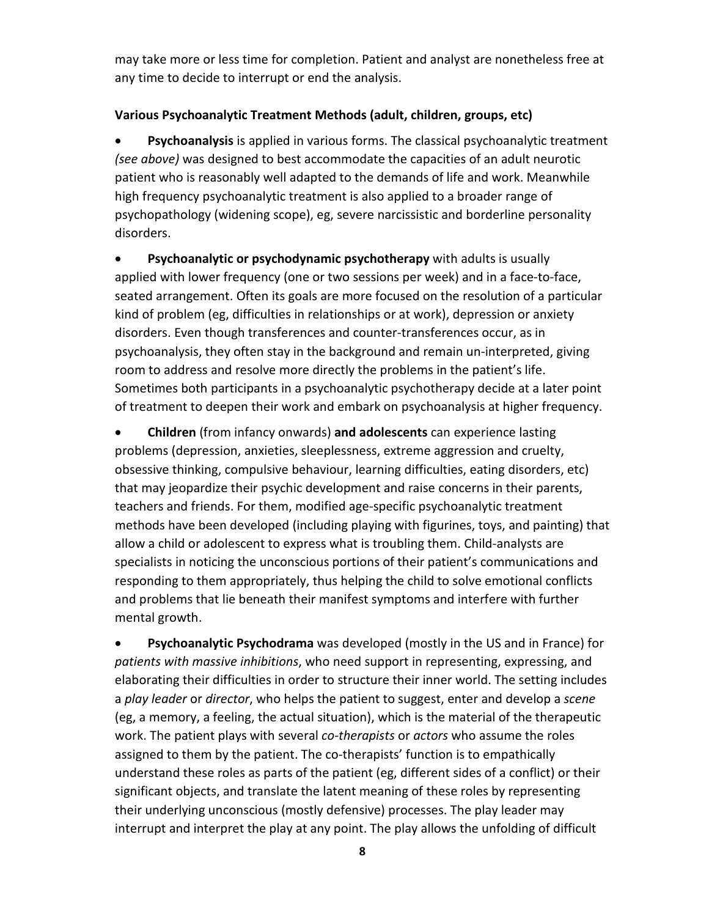may take more or less time for completion. Patient and analyst are nonetheless free at any time to decide to interrupt or end the analysis.

# **Various Psychoanalytic Treatment Methods (adult, children, groups, etc)**

• **Psychoanalysis** is applied in various forms. The classical psychoanalytic treatment *(see above)* was designed to best accommodate the capacities of an adult neurotic patient who is reasonably well adapted to the demands of life and work. Meanwhile high frequency psychoanalytic treatment is also applied to a broader range of psychopathology (widening scope), eg, severe narcissistic and borderline personality disorders.

• **Psychoanalytic or psychodynamic psychotherapy** with adults is usually applied with lower frequency (one or two sessions per week) and in a face-to-face, seated arrangement. Often its goals are more focused on the resolution of a particular kind of problem (eg, difficulties in relationships or at work), depression or anxiety disorders. Even though transferences and counter-transferences occur, as in psychoanalysis, they often stay in the background and remain un-interpreted, giving room to address and resolve more directly the problems in the patient's life. Sometimes both participants in a psychoanalytic psychotherapy decide at a later point of treatment to deepen their work and embark on psychoanalysis at higher frequency.

• **Children** (from infancy onwards) **and adolescents** can experience lasting problems (depression, anxieties, sleeplessness, extreme aggression and cruelty, obsessive thinking, compulsive behaviour, learning difficulties, eating disorders, etc) that may jeopardize their psychic development and raise concerns in their parents, teachers and friends. For them, modified age-specific psychoanalytic treatment methods have been developed (including playing with figurines, toys, and painting) that allow a child or adolescent to express what is troubling them. Child-analysts are specialists in noticing the unconscious portions of their patient's communications and responding to them appropriately, thus helping the child to solve emotional conflicts and problems that lie beneath their manifest symptoms and interfere with further mental growth.

• **Psychoanalytic Psychodrama** was developed (mostly in the US and in France) for *patients with massive inhibitions*, who need support in representing, expressing, and elaborating their difficulties in order to structure their inner world. The setting includes a *play leader* or *director*, who helps the patient to suggest, enter and develop a *scene* (eg, a memory, a feeling, the actual situation), which is the material of the therapeutic work. The patient plays with several *co-therapists* or *actors* who assume the roles assigned to them by the patient. The co-therapists' function is to empathically understand these roles as parts of the patient (eg, different sides of a conflict) or their significant objects, and translate the latent meaning of these roles by representing their underlying unconscious (mostly defensive) processes. The play leader may interrupt and interpret the play at any point. The play allows the unfolding of difficult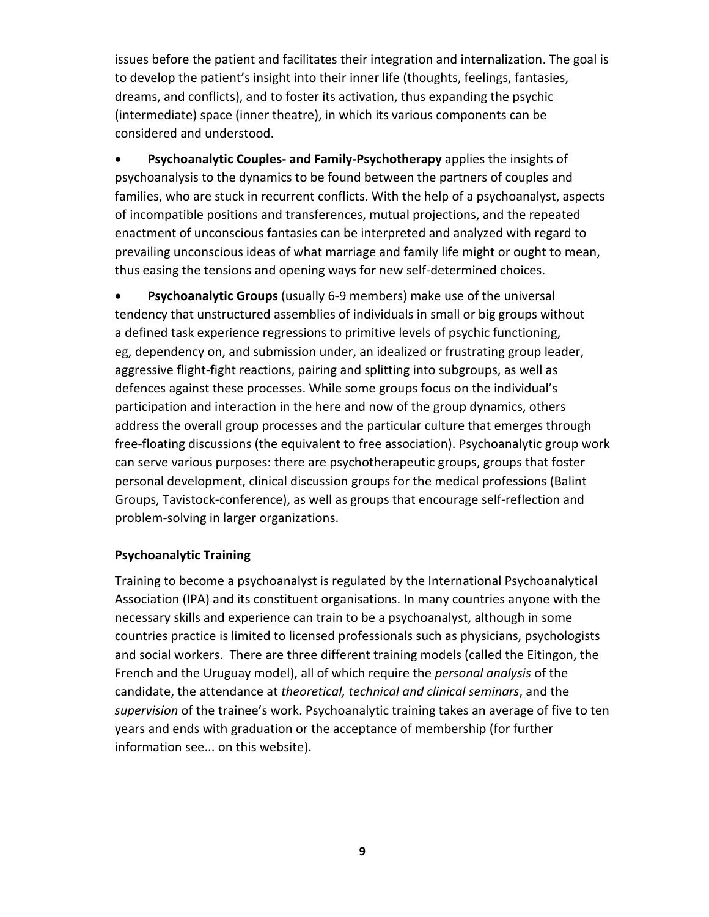issues before the patient and facilitates their integration and internalization. The goal is to develop the patient's insight into their inner life (thoughts, feelings, fantasies, dreams, and conflicts), and to foster its activation, thus expanding the psychic (intermediate) space (inner theatre), in which its various components can be considered and understood.

• **Psychoanalytic Couples- and Family-Psychotherapy** applies the insights of psychoanalysis to the dynamics to be found between the partners of couples and families, who are stuck in recurrent conflicts. With the help of a psychoanalyst, aspects of incompatible positions and transferences, mutual projections, and the repeated enactment of unconscious fantasies can be interpreted and analyzed with regard to prevailing unconscious ideas of what marriage and family life might or ought to mean, thus easing the tensions and opening ways for new self-determined choices.

• **Psychoanalytic Groups** (usually 6-9 members) make use of the universal tendency that unstructured assemblies of individuals in small or big groups without a defined task experience regressions to primitive levels of psychic functioning, eg, dependency on, and submission under, an idealized or frustrating group leader, aggressive flight-fight reactions, pairing and splitting into subgroups, as well as defences against these processes. While some groups focus on the individual's participation and interaction in the here and now of the group dynamics, others address the overall group processes and the particular culture that emerges through free-floating discussions (the equivalent to free association). Psychoanalytic group work can serve various purposes: there are psychotherapeutic groups, groups that foster personal development, clinical discussion groups for the medical professions (Balint Groups, Tavistock-conference), as well as groups that encourage self-reflection and problem-solving in larger organizations.

## **Psychoanalytic Training**

Training to become a psychoanalyst is regulated by the International Psychoanalytical Association (IPA) and its constituent organisations. In many countries anyone with the necessary skills and experience can train to be a psychoanalyst, although in some countries practice is limited to licensed professionals such as physicians, psychologists and social workers. There are three different training models (called the Eitingon, the French and the Uruguay model), all of which require the *personal analysis* of the candidate, the attendance at *theoretical, technical and clinical seminars*, and the *supervision* of the trainee's work. Psychoanalytic training takes an average of five to ten years and ends with graduation or the acceptance of membership (for further information see... on this website).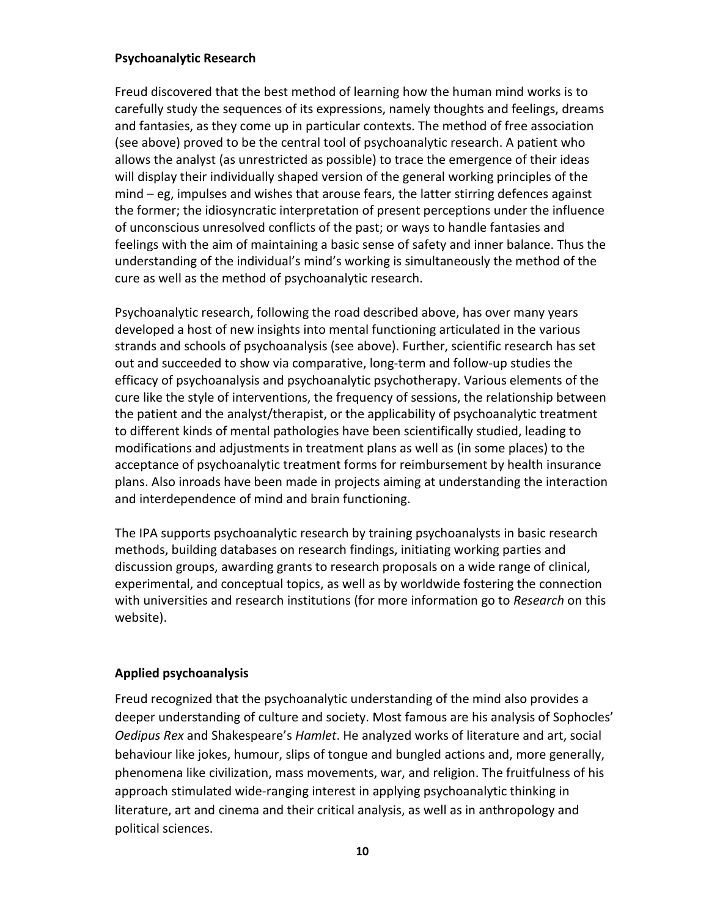## **Psychoanalytic Research**

Freud discovered that the best method of learning how the human mind works is to carefully study the sequences of its expressions, namely thoughts and feelings, dreams and fantasies, as they come up in particular contexts. The method of free association (see above) proved to be the central tool of psychoanalytic research. A patient who allows the analyst (as unrestricted as possible) to trace the emergence of their ideas will display their individually shaped version of the general working principles of the mind – eg, impulses and wishes that arouse fears, the latter stirring defences against the former; the idiosyncratic interpretation of present perceptions under the influence of unconscious unresolved conflicts of the past; or ways to handle fantasies and feelings with the aim of maintaining a basic sense of safety and inner balance. Thus the understanding of the individual's mind's working is simultaneously the method of the cure as well as the method of psychoanalytic research.

Psychoanalytic research, following the road described above, has over many years developed a host of new insights into mental functioning articulated in the various strands and schools of psychoanalysis (see above). Further, scientific research has set out and succeeded to show via comparative, long-term and follow-up studies the efficacy of psychoanalysis and psychoanalytic psychotherapy. Various elements of the cure like the style of interventions, the frequency of sessions, the relationship between the patient and the analyst/therapist, or the applicability of psychoanalytic treatment to different kinds of mental pathologies have been scientifically studied, leading to modifications and adjustments in treatment plans as well as (in some places) to the acceptance of psychoanalytic treatment forms for reimbursement by health insurance plans. Also inroads have been made in projects aiming at understanding the interaction and interdependence of mind and brain functioning.

The IPA supports psychoanalytic research by training psychoanalysts in basic research methods, building databases on research findings, initiating working parties and discussion groups, awarding grants to research proposals on a wide range of clinical, experimental, and conceptual topics, as well as by worldwide fostering the connection with universities and research institutions (for more information go to *Research* on this website).

# **Applied psychoanalysis**

Freud recognized that the psychoanalytic understanding of the mind also provides a deeper understanding of culture and society. Most famous are his analysis of Sophocles' *Oedipus Rex* and Shakespeare's *Hamlet*. He analyzed works of literature and art, social behaviour like jokes, humour, slips of tongue and bungled actions and, more generally, phenomena like civilization, mass movements, war, and religion. The fruitfulness of his approach stimulated wide-ranging interest in applying psychoanalytic thinking in literature, art and cinema and their critical analysis, as well as in anthropology and political sciences.